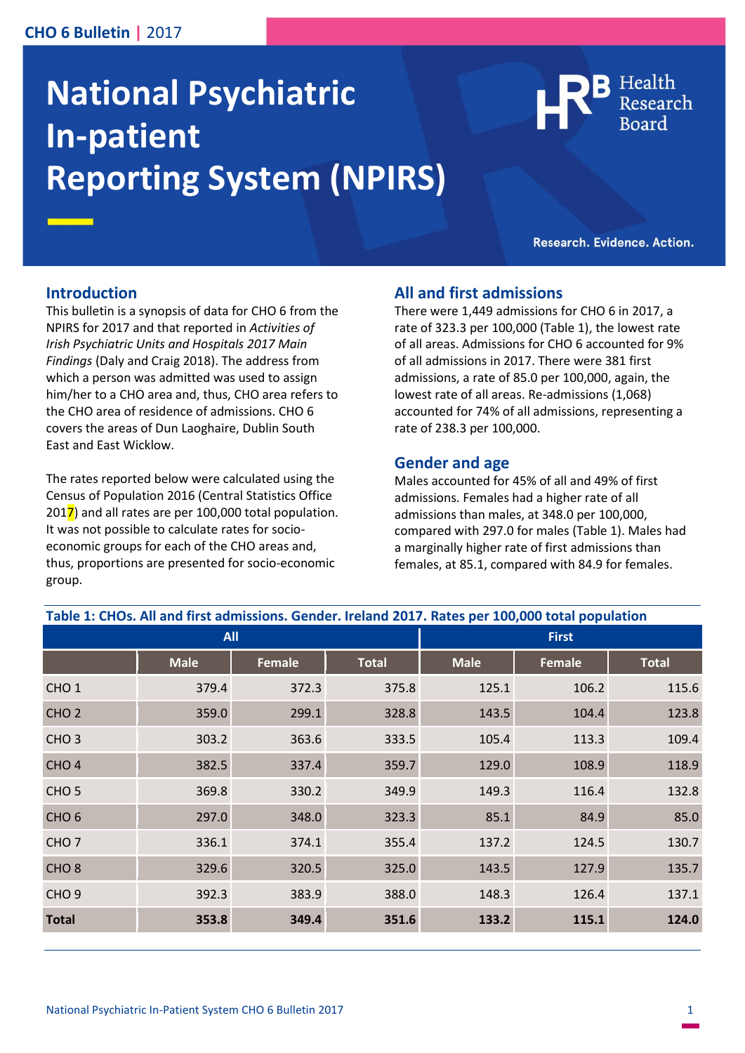# **CHO 6 Bulletin |** 2017

# **National Psychiatric In-patient Reporting System (NPIRS)**



Research. Evidence. Action.

#### **Introduction**

This bulletin is a synopsis of data for CHO 6 from the NPIRS for 2017 and that reported in *Activities of Irish Psychiatric Units and Hospitals 2017 Main Findings* (Daly and Craig 2018). The address from which a person was admitted was used to assign him/her to a CHO area and, thus, CHO area refers to the CHO area of residence of admissions. CHO 6 covers the areas of Dun Laoghaire, Dublin South East and East Wicklow.

The rates reported below were calculated using the Census of Population 2016 (Central Statistics Office  $2017$ ) and all rates are per 100,000 total population. It was not possible to calculate rates for socioeconomic groups for each of the CHO areas and, thus, proportions are presented for socio-economic group.

#### **All and first admissions**

There were 1,449 admissions for CHO 6 in 2017, a rate of 323.3 per 100,000 (Table 1), the lowest rate of all areas. Admissions for CHO 6 accounted for 9% of all admissions in 2017. There were 381 first admissions, a rate of 85.0 per 100,000, again, the lowest rate of all areas. Re-admissions (1,068) accounted for 74% of all admissions, representing a rate of 238.3 per 100,000.

#### **Gender and age**

Males accounted for 45% of all and 49% of first admissions. Females had a higher rate of all admissions than males, at 348.0 per 100,000, compared with 297.0 for males (Table 1). Males had a marginally higher rate of first admissions than females, at 85.1, compared with 84.9 for females.

| Table 1: CHOs. All and first admissions. Gender. Ireland 2017. Rates per 100,000 total population |             |               |              |              |        |              |
|---------------------------------------------------------------------------------------------------|-------------|---------------|--------------|--------------|--------|--------------|
| <b>All</b>                                                                                        |             |               |              | <b>First</b> |        |              |
|                                                                                                   | <b>Male</b> | <b>Female</b> | <b>Total</b> | <b>Male</b>  | Female | <b>Total</b> |
| CHO <sub>1</sub>                                                                                  | 379.4       | 372.3         | 375.8        | 125.1        | 106.2  | 115.6        |
| CHO <sub>2</sub>                                                                                  | 359.0       | 299.1         | 328.8        | 143.5        | 104.4  | 123.8        |
| CHO <sub>3</sub>                                                                                  | 303.2       | 363.6         | 333.5        | 105.4        | 113.3  | 109.4        |
| CHO <sub>4</sub>                                                                                  | 382.5       | 337.4         | 359.7        | 129.0        | 108.9  | 118.9        |
| CHO <sub>5</sub>                                                                                  | 369.8       | 330.2         | 349.9        | 149.3        | 116.4  | 132.8        |
| CHO <sub>6</sub>                                                                                  | 297.0       | 348.0         | 323.3        | 85.1         | 84.9   | 85.0         |
| CHO <sub>7</sub>                                                                                  | 336.1       | 374.1         | 355.4        | 137.2        | 124.5  | 130.7        |
| CHO <sub>8</sub>                                                                                  | 329.6       | 320.5         | 325.0        | 143.5        | 127.9  | 135.7        |
| CHO <sub>9</sub>                                                                                  | 392.3       | 383.9         | 388.0        | 148.3        | 126.4  | 137.1        |
| <b>Total</b>                                                                                      | 353.8       | 349.4         | 351.6        | 133.2        | 115.1  | 124.0        |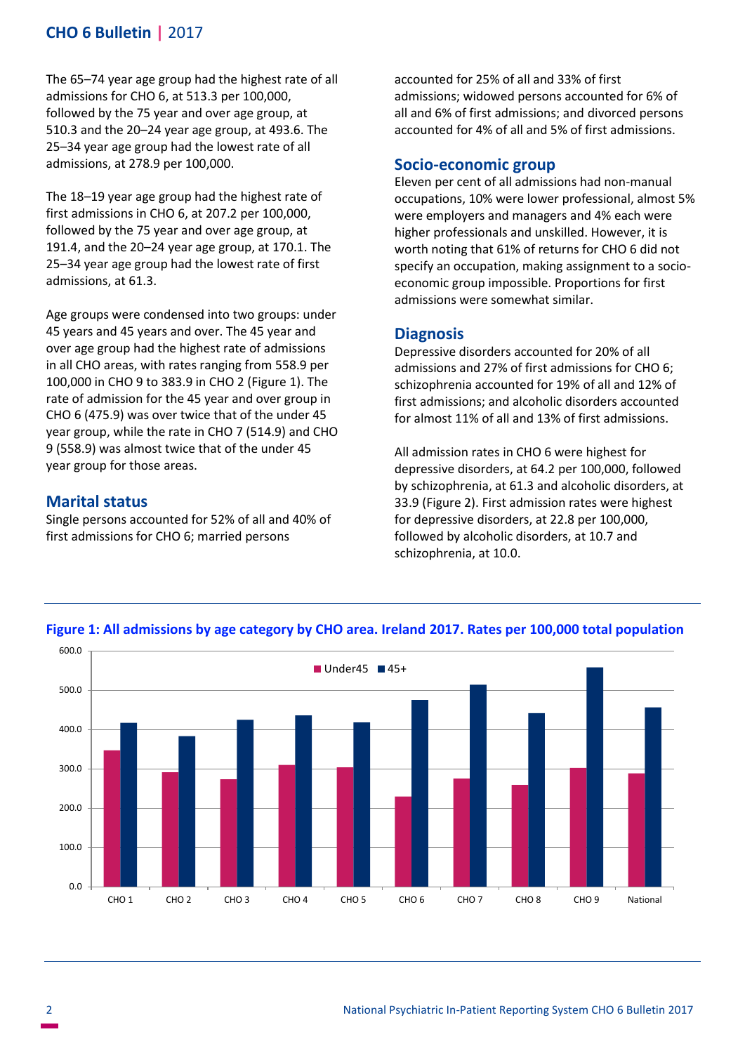# **CHO 6 Bulletin |** 2017

The 65–74 year age group had the highest rate of all admissions for CHO 6, at 513.3 per 100,000, followed by the 75 year and over age group, at 510.3 and the 20–24 year age group, at 493.6. The 25–34 year age group had the lowest rate of all admissions, at 278.9 per 100,000.

The 18–19 year age group had the highest rate of first admissions in CHO 6, at 207.2 per 100,000, followed by the 75 year and over age group, at 191.4, and the 20–24 year age group, at 170.1. The 25–34 year age group had the lowest rate of first admissions, at 61.3.

Age groups were condensed into two groups: under 45 years and 45 years and over. The 45 year and over age group had the highest rate of admissions in all CHO areas, with rates ranging from 558.9 per 100,000 in CHO 9 to 383.9 in CHO 2 (Figure 1). The rate of admission for the 45 year and over group in CHO 6 (475.9) was over twice that of the under 45 year group, while the rate in CHO 7 (514.9) and CHO 9 (558.9) was almost twice that of the under 45 year group for those areas.

# **Marital status**

Single persons accounted for 52% of all and 40% of first admissions for CHO 6; married persons

accounted for 25% of all and 33% of first admissions; widowed persons accounted for 6% of all and 6% of first admissions; and divorced persons accounted for 4% of all and 5% of first admissions.

# **Socio-economic group**

Eleven per cent of all admissions had non-manual occupations, 10% were lower professional, almost 5% were employers and managers and 4% each were higher professionals and unskilled. However, it is worth noting that 61% of returns for CHO 6 did not specify an occupation, making assignment to a socioeconomic group impossible. Proportions for first admissions were somewhat similar.

## **Diagnosis**

Depressive disorders accounted for 20% of all admissions and 27% of first admissions for CHO 6; schizophrenia accounted for 19% of all and 12% of first admissions; and alcoholic disorders accounted for almost 11% of all and 13% of first admissions.

All admission rates in CHO 6 were highest for depressive disorders, at 64.2 per 100,000, followed by schizophrenia, at 61.3 and alcoholic disorders, at 33.9 (Figure 2). First admission rates were highest for depressive disorders, at 22.8 per 100,000, followed by alcoholic disorders, at 10.7 and schizophrenia, at 10.0.



### **Figure 1: All admissions by age category by CHO area. Ireland 2017. Rates per 100,000 total population**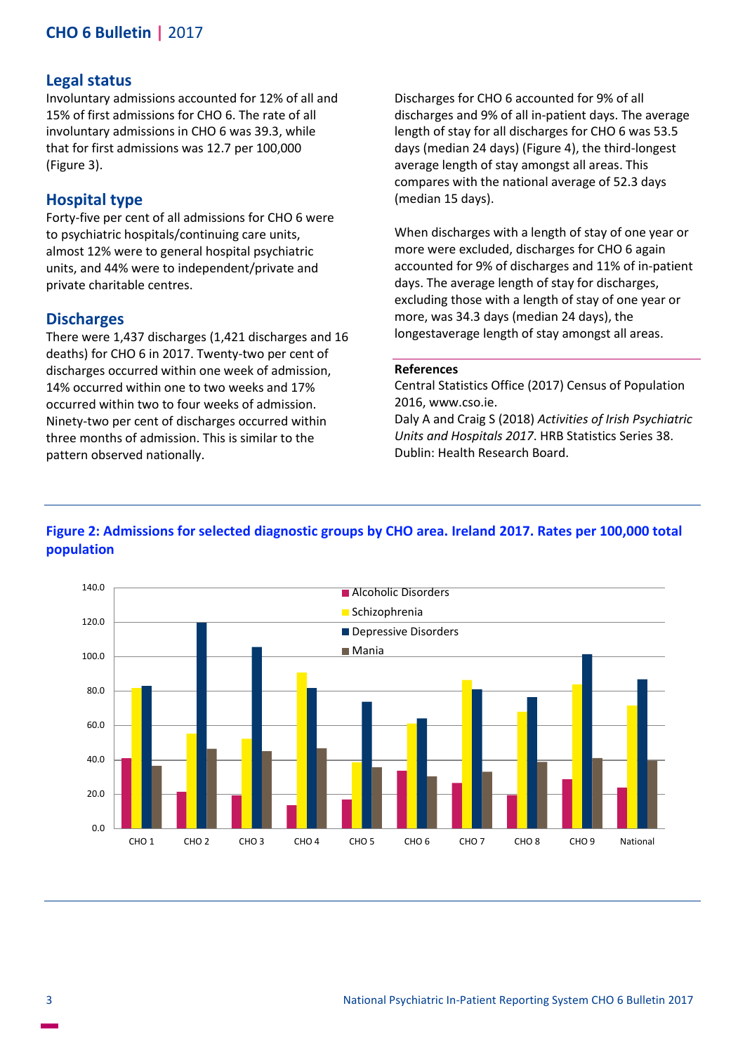# **CHO 6 Bulletin |** 2017

#### **Legal status**

Involuntary admissions accounted for 12% of all and 15% of first admissions for CHO 6. The rate of all involuntary admissions in CHO 6 was 39.3, while that for first admissions was 12.7 per 100,000 (Figure 3).

## **Hospital type**

Forty-five per cent of all admissions for CHO 6 were to psychiatric hospitals/continuing care units, almost 12% were to general hospital psychiatric units, and 44% were to independent/private and private charitable centres.

#### **Discharges**

There were 1,437 discharges (1,421 discharges and 16 deaths) for CHO 6 in 2017. Twenty-two per cent of discharges occurred within one week of admission, 14% occurred within one to two weeks and 17% occurred within two to four weeks of admission. Ninety-two per cent of discharges occurred within three months of admission. This is similar to the pattern observed nationally.

Discharges for CHO 6 accounted for 9% of all discharges and 9% of all in-patient days. The average length of stay for all discharges for CHO 6 was 53.5 days (median 24 days) (Figure 4), the third-longest average length of stay amongst all areas. This compares with the national average of 52.3 days (median 15 days).

When discharges with a length of stay of one year or more were excluded, discharges for CHO 6 again accounted for 9% of discharges and 11% of in-patient days. The average length of stay for discharges, excluding those with a length of stay of one year or more, was 34.3 days (median 24 days), the longestaverage length of stay amongst all areas.

#### **References**

Central Statistics Office (2017) Census of Population 2016, www.cso.ie. Daly A and Craig S (2018) *Activities of Irish Psychiatric Units and Hospitals 2017*. HRB Statistics Series 38. Dublin: Health Research Board.

# **Figure 2: Admissions for selected diagnostic groups by CHO area. Ireland 2017. Rates per 100,000 total population**